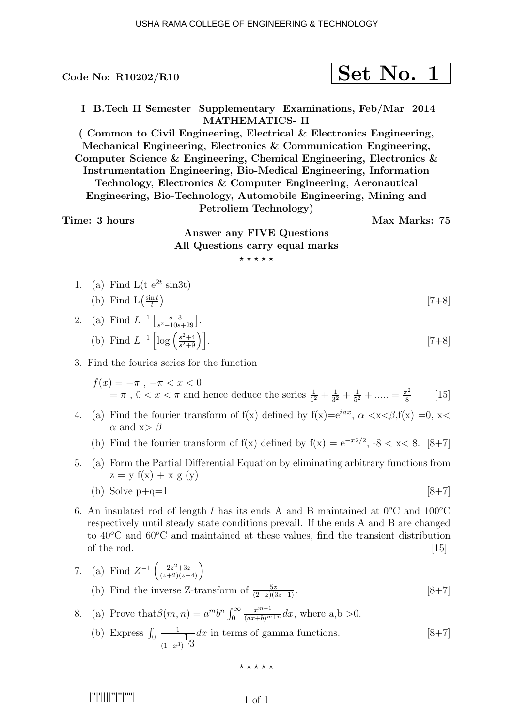## $\rm{Code}$  No: R10202/R10  $\rm{Set}$   $\rm{Set}$   $\rm{No.}$  1

I B.Tech II Semester Supplementary Examinations, Feb/Mar 2014 MATHEMATICS- II

( Common to Civil Engineering, Electrical & Electronics Engineering, Mechanical Engineering, Electronics & Communication Engineering, Computer Science & Engineering, Chemical Engineering, Electronics & Instrumentation Engineering, Bio-Medical Engineering, Information Technology, Electronics & Computer Engineering, Aeronautical Engineering, Bio-Technology, Automobile Engineering, Mining and Petroliem Technology)

Time: 3 hours Max Marks: 75

Answer any FIVE Questions All Questions carry equal marks  $***$ \*\*

1. (a) Find L(t e<sup>2t</sup> sin3t)  
(b) Find L(
$$
\frac{\sin t}{t}
$$
) [7+8]

2. (a) Find 
$$
L^{-1} \left[ \frac{s-3}{s^2 - 10s + 29} \right]
$$
.  
\n(b) Find  $L^{-1} \left[ \log \left( \frac{s^2 + 4}{s^2 + 9} \right) \right]$ . [7+8]

3. Find the fouries series for the function

$$
f(x) = -\pi, -\pi < x < 0
$$
\n
$$
= \pi, 0 < x < \pi \text{ and hence deduce the series } \frac{1}{1^2} + \frac{1}{3^2} + \frac{1}{5^2} + \dots = \frac{\pi^2}{8} \qquad [15]
$$

- 4. (a) Find the fourier transform of  $f(x)$  defined by  $f(x)=e^{iax}$ ,  $\alpha < x < \beta$ ,  $f(x) = 0$ ,  $x <$  $\alpha$  and x>  $\beta$ 
	- (b) Find the fourier transform of f(x) defined by  $f(x) = e^{-x^2/2}$ ,  $-8 < x < 8$ . [8+7]
- 5. (a) Form the Partial Differential Equation by eliminating arbitrary functions from  $z = y f(x) + x g(y)$

(b) Solve 
$$
p+q=1
$$
  $[8+7]$ 

- 6. An insulated rod of length l has its ends A and B maintained at  $0^{\circ}$ C and  $100^{\circ}$ C respectively until steady state conditions prevail. If the ends A and B are changed to  $40^{\circ}$ C and  $60^{\circ}$ C and maintained at these values, find the transient distribution of the rod.  $[15]$
- 7. (a) Find  $Z^{-1}\left(\frac{2z^2+3z}{(z+2)(z-4)}\right)$ (b) Find the inverse Z-transform of  $\frac{5z}{(2-z)(3z-1)}$ . [8+7]

8. (a) Prove that 
$$
\beta(m, n) = a^m b^n \int_0^\infty \frac{x^{m-1}}{(ax+b)^{m+n}} dx
$$
, where a, b > 0.

(b) Express 
$$
\int_0^1 \frac{1}{(1-x^3)} dx
$$
 in terms of gamma functions. [8+7]

 $***$ \*\*

```
 |''|'||||''|''|''''|
```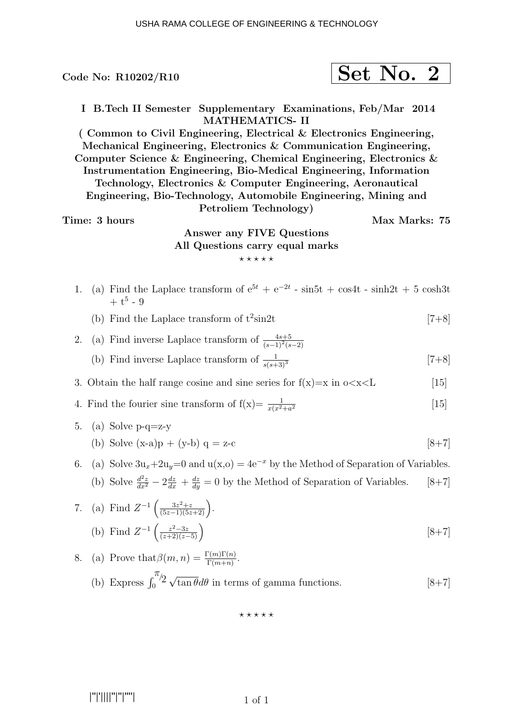# $\rm{Code}$  No: R10202/R10  $\rm{Set}$   $\rm{Net}$   $\rm{No.}$  2

I B.Tech II Semester Supplementary Examinations, Feb/Mar 2014 MATHEMATICS- II

( Common to Civil Engineering, Electrical & Electronics Engineering, Mechanical Engineering, Electronics & Communication Engineering, Computer Science & Engineering, Chemical Engineering, Electronics & Instrumentation Engineering, Bio-Medical Engineering, Information Technology, Electronics & Computer Engineering, Aeronautical Engineering, Bio-Technology, Automobile Engineering, Mining and Petroliem Technology)

#### Time: 3 hours Max Marks: 75

### Answer any FIVE Questions All Questions carry equal marks  $***$ \*\*

- 1. (a) Find the Laplace transform of  $e^{5t} + e^{-2t}$  sin5t + cos4t sinh2t + 5 cosh3t  $+ t^5 - 9$ 
	- (b) Find the Laplace transform of  $t^2\sin 2t$  $\sin 2t$  [7+8]
- 2. (a) Find inverse Laplace transform of  $\frac{4s+5}{(s-1)^2(s-2)}$ 
	- (b) Find inverse Laplace transform of  $\frac{1}{s(s+3)^3}$  [7+8]

3. Obtain the half range cosine and sine series for  $f(x)=x$  in  $o\lt x\lt L$  [15]

- 4. Find the fourier sine transform of  $f(x) = \frac{1}{x(x^2 + a^2)}$  $\vert 15 \vert$
- 5. (a) Solve  $p-q=z-y$ (b) Solve  $(x-a)p + (y-b) q = z-c$  [8+7]
- 6. (a) Solve  $3u_x+2u_y=0$  and  $u(x,0) = 4e^{-x}$  by the Method of Separation of Variables. (b) Solve  $\frac{d^2z}{dx^2} - 2\frac{dz}{dx} + \frac{dz}{dy} = 0$  by the Method of Separation of Variables. [8+7]

7. (a) Find 
$$
Z^{-1}\left(\frac{3z^2+z}{(5z-1)(5z+2)}\right)
$$
.  
\n(b) Find  $Z^{-1}\left(\frac{z^2-3z}{(z+2)(z-5)}\right)$   $[8+7]$ 

8. (a) Prove that 
$$
\beta(m, n) = \frac{\Gamma(m)\Gamma(n)}{\Gamma(m+n)}
$$
.  
\n(b) Express  $\int_0^{\pi/2} \sqrt{\tan \theta} d\theta$  in terms of gamma functions. [8+7]

 $***$ \*\*

|''|'||||''|''|''''|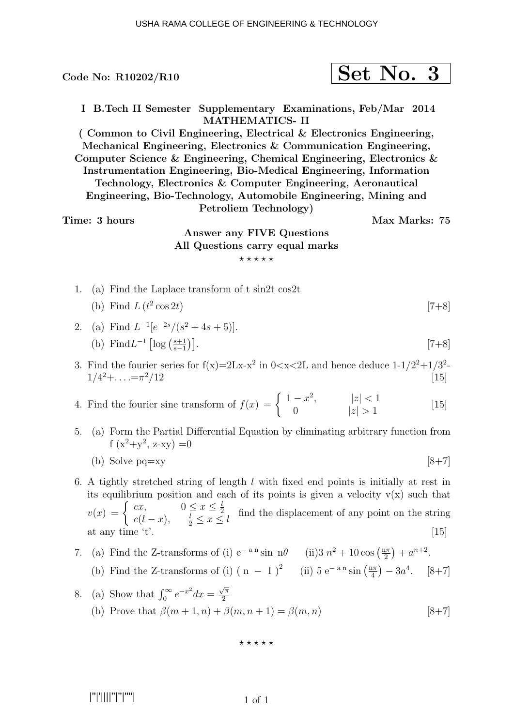Code No: R10202/R10  $\vert$  Set No. 3 I B.Tech II Semester Supplementary Examinations, Feb/Mar 2014 MATHEMATICS- II ( Common to Civil Engineering, Electrical & Electronics Engineering, Mechanical Engineering, Electronics & Communication Engineering, Computer Science & Engineering, Chemical Engineering, Electronics & Instrumentation Engineering, Bio-Medical Engineering, Information Technology, Electronics & Computer Engineering, Aeronautical Engineering, Bio-Technology, Automobile Engineering, Mining and Petroliem Technology) Time: 3 hours Max Marks: 75 Answer any FIVE Questions

## All Questions carry equal marks  $***$ \*\*

- 1. (a) Find the Laplace transform of t sin2t cos2t
	- (b) Find  $L(t^2)$  $\cos 2t$  [7+8]

2. (a) Find 
$$
L^{-1}[e^{-2s}/(s^2 + 4s + 5)].
$$
  
\n(b) Find  $L^{-1}\left[\log\left(\frac{s+1}{s-1}\right)\right]$ . [7+8]

- 3. Find the fourier series for  $f(x)=2Lx-x^2$  in  $0 < x < 2L$  and hence deduce  $1-1/2^2+1/3^2$  $1/4^2 + \ldots = \pi^2/12$  $^{2}/12$  [15]
- 4. Find the fourier sine transform of  $f(x) = \begin{cases} 1-x^2, & |z| < 1 \\ 0, & |z| > 1 \end{cases}$ 0  $|z| > 1$ [15]
- 5. (a) Form the Partial Differential Equation by eliminating arbitrary function from  $f(x^2+y^2, z-xy) = 0$

(b) Solve 
$$
pq=xy
$$
 [8+7]

- 6. A tightly stretched string of length  $l$  with fixed end points is initially at rest in its equilibrium position and each of its points is given a velocity  $v(x)$  such that  $v(x) = \begin{cases} cx, & 0 \leq x \leq \frac{l}{2} \\ c(l-x) & l \leq x \end{cases}$ 2  $\frac{c(x)}{c(l-x)},$   $\frac{l}{2} \leq x \leq l$  find the displacement of any point on the string at any time 't'.  $[15]$
- 7. (a) Find the Z-transforms of (i) e<sup>-a n</sup> sin n $\theta$  (ii)3  $n^2 + 10 \cos(\frac{n\pi}{2})$  $\frac{2\pi}{2}$  +  $a^{n+2}$ .
	- (b) Find the Z-transforms of (i)  $(n-1)^2$  (ii)  $5 e^{-a n} \sin(\frac{n\pi}{4})$  $\frac{1\pi}{4}$   $-3a^4$ . [8+7]
- 8. (a) Show that  $\int_0^\infty e^{-x^2} dx = \frac{\sqrt{\pi}}{2}$ 2 (b) Prove that  $\beta(m+1, n) + \beta(m, n+1) = \beta(m, n)$  [8+7]

#### ⋆ ⋆ ⋆ ⋆ ⋆

|''|'||||''|''|''''|